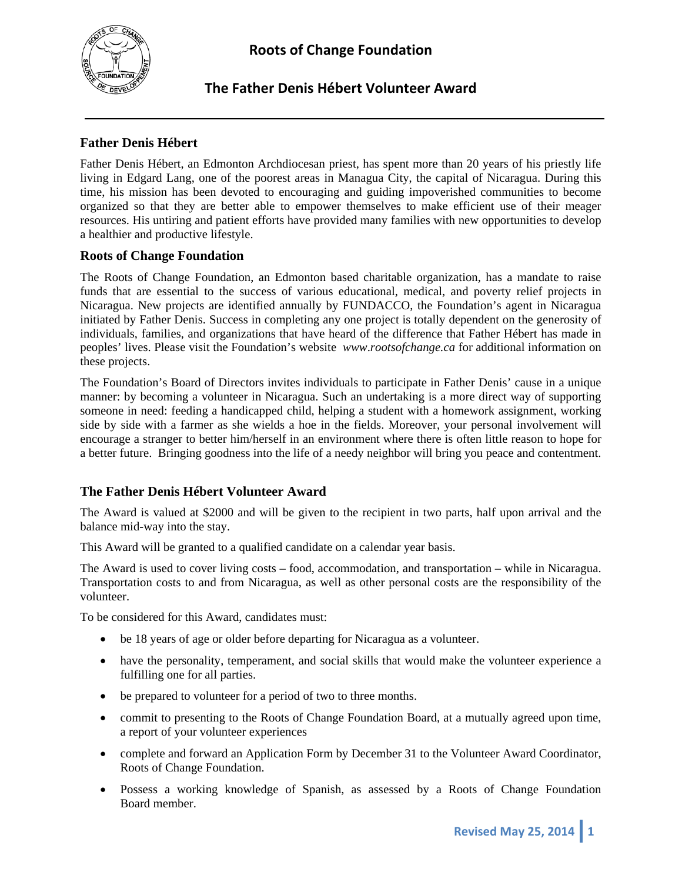

#### **Father Denis Hébert**

Father Denis Hébert, an Edmonton Archdiocesan priest, has spent more than 20 years of his priestly life living in Edgard Lang, one of the poorest areas in Managua City, the capital of Nicaragua. During this time, his mission has been devoted to encouraging and guiding impoverished communities to become organized so that they are better able to empower themselves to make efficient use of their meager resources. His untiring and patient efforts have provided many families with new opportunities to develop a healthier and productive lifestyle.

#### **Roots of Change Foundation**

The Roots of Change Foundation, an Edmonton based charitable organization, has a mandate to raise funds that are essential to the success of various educational, medical, and poverty relief projects in Nicaragua. New projects are identified annually by FUNDACCO, the Foundation's agent in Nicaragua initiated by Father Denis. Success in completing any one project is totally dependent on the generosity of individuals, families, and organizations that have heard of the difference that Father Hébert has made in peoples' lives. Please visit the Foundation's website *www*.*rootsofchange.ca* for additional information on these projects.

The Foundation's Board of Directors invites individuals to participate in Father Denis' cause in a unique manner: by becoming a volunteer in Nicaragua. Such an undertaking is a more direct way of supporting someone in need: feeding a handicapped child, helping a student with a homework assignment, working side by side with a farmer as she wields a hoe in the fields. Moreover, your personal involvement will encourage a stranger to better him/herself in an environment where there is often little reason to hope for a better future. Bringing goodness into the life of a needy neighbor will bring you peace and contentment.

#### **The Father Denis Hébert Volunteer Award**

The Award is valued at \$2000 and will be given to the recipient in two parts, half upon arrival and the balance mid-way into the stay.

This Award will be granted to a qualified candidate on a calendar year basis.

The Award is used to cover living costs – food, accommodation, and transportation – while in Nicaragua. Transportation costs to and from Nicaragua, as well as other personal costs are the responsibility of the volunteer.

To be considered for this Award, candidates must:

- be 18 years of age or older before departing for Nicaragua as a volunteer.
- have the personality, temperament, and social skills that would make the volunteer experience a fulfilling one for all parties.
- be prepared to volunteer for a period of two to three months.
- commit to presenting to the Roots of Change Foundation Board, at a mutually agreed upon time, a report of your volunteer experiences
- complete and forward an Application Form by December 31 to the Volunteer Award Coordinator, Roots of Change Foundation.
- Possess a working knowledge of Spanish, as assessed by a Roots of Change Foundation Board member.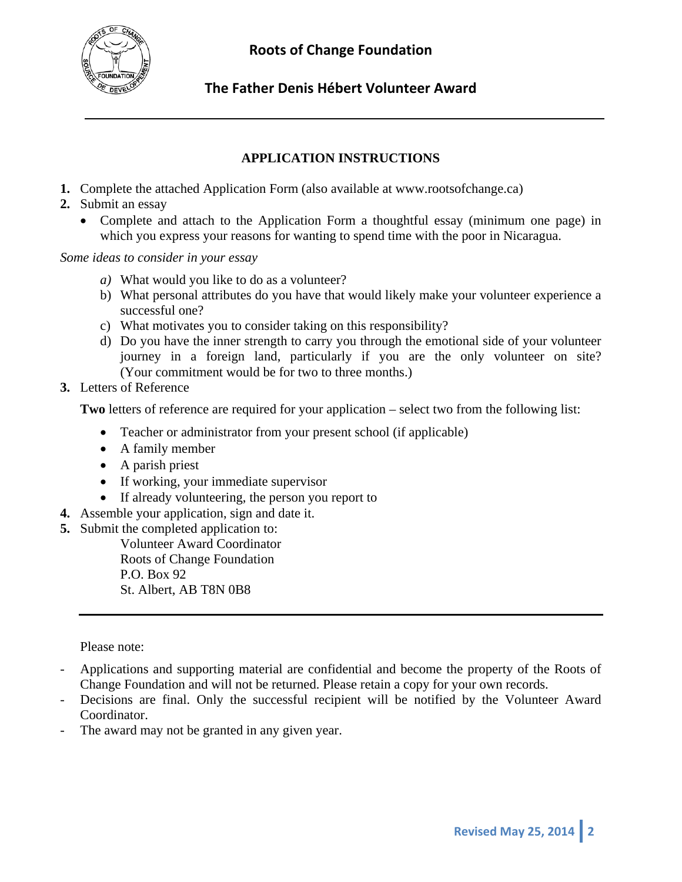

### **APPLICATION INSTRUCTIONS**

- **1.** Complete the attached Application Form (also available at www.rootsofchange.ca)
- **2.** Submit an essay
	- Complete and attach to the Application Form a thoughtful essay (minimum one page) in which you express your reasons for wanting to spend time with the poor in Nicaragua.

#### *Some ideas to consider in your essay*

- *a)* What would you like to do as a volunteer?
- b) What personal attributes do you have that would likely make your volunteer experience a successful one?
- c) What motivates you to consider taking on this responsibility?
- d) Do you have the inner strength to carry you through the emotional side of your volunteer journey in a foreign land, particularly if you are the only volunteer on site? (Your commitment would be for two to three months.)
- **3.** Letters of Reference

**Two** letters of reference are required for your application – select two from the following list:

- Teacher or administrator from your present school (if applicable)
- A family member
- A parish priest
- If working, your immediate supervisor
- If already volunteering, the person you report to
- **4.** Assemble your application, sign and date it.
- **5.** Submit the completed application to:

Volunteer Award Coordinator Roots of Change Foundation P.O. Box 92 St. Albert, AB T8N 0B8

Please note:

- Applications and supporting material are confidential and become the property of the Roots of Change Foundation and will not be returned. Please retain a copy for your own records.
- Decisions are final. Only the successful recipient will be notified by the Volunteer Award Coordinator.
- The award may not be granted in any given year.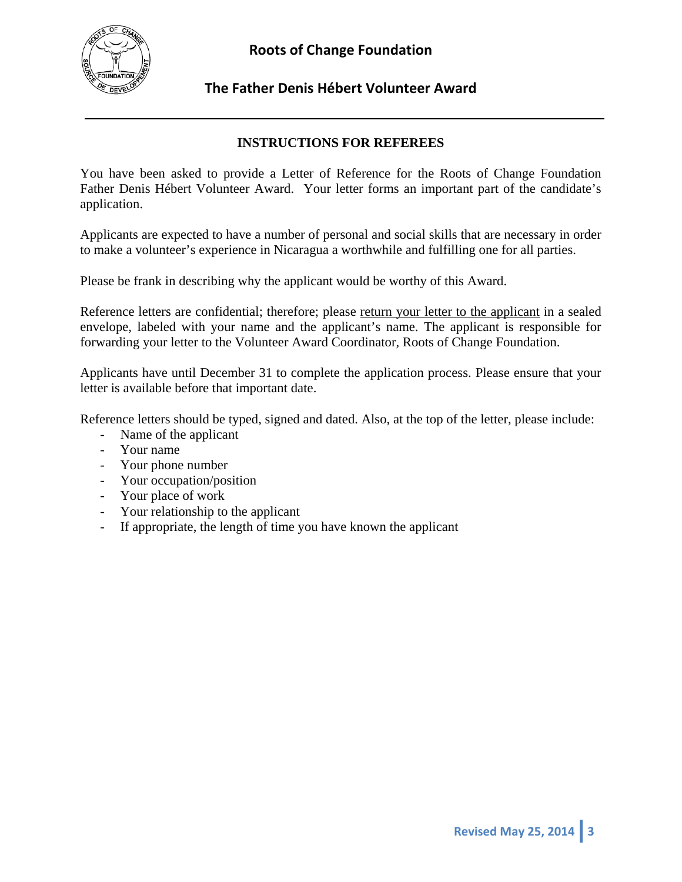

#### **INSTRUCTIONS FOR REFEREES**

You have been asked to provide a Letter of Reference for the Roots of Change Foundation Father Denis Hébert Volunteer Award. Your letter forms an important part of the candidate's application.

Applicants are expected to have a number of personal and social skills that are necessary in order to make a volunteer's experience in Nicaragua a worthwhile and fulfilling one for all parties.

Please be frank in describing why the applicant would be worthy of this Award.

Reference letters are confidential; therefore; please return your letter to the applicant in a sealed envelope, labeled with your name and the applicant's name. The applicant is responsible for forwarding your letter to the Volunteer Award Coordinator, Roots of Change Foundation.

Applicants have until December 31 to complete the application process. Please ensure that your letter is available before that important date.

Reference letters should be typed, signed and dated. Also, at the top of the letter, please include:

- Name of the applicant
- Your name
- Your phone number
- Your occupation/position
- Your place of work
- Your relationship to the applicant
- If appropriate, the length of time you have known the applicant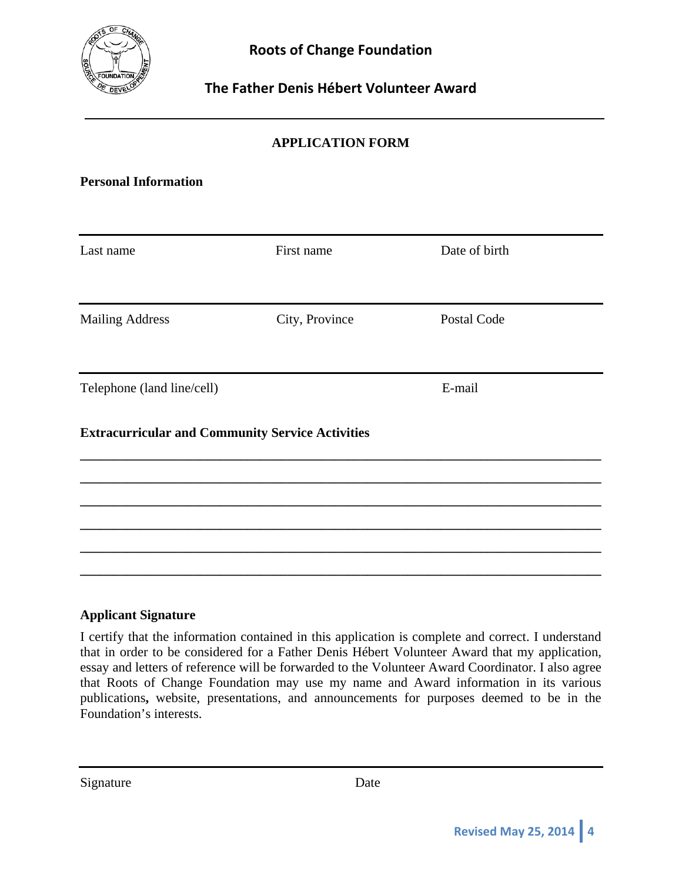

# **APPLICATION FORM**

#### **Personal Information**

| Last name                                               | First name     | Date of birth |  |
|---------------------------------------------------------|----------------|---------------|--|
| <b>Mailing Address</b>                                  | City, Province | Postal Code   |  |
|                                                         |                |               |  |
| Telephone (land line/cell)                              |                | E-mail        |  |
| <b>Extracurricular and Community Service Activities</b> |                |               |  |
|                                                         |                |               |  |
|                                                         |                |               |  |
|                                                         |                |               |  |

#### **Applicant Signature**

I certify that the information contained in this application is complete and correct. I understand that in order to be considered for a Father Denis Hébert Volunteer Award that my application, essay and letters of reference will be forwarded to the Volunteer Award Coordinator. I also agree that Roots of Change Foundation may use my name and Award information in its various publications**,** website, presentations, and announcements for purposes deemed to be in the Foundation's interests.

Signature Date